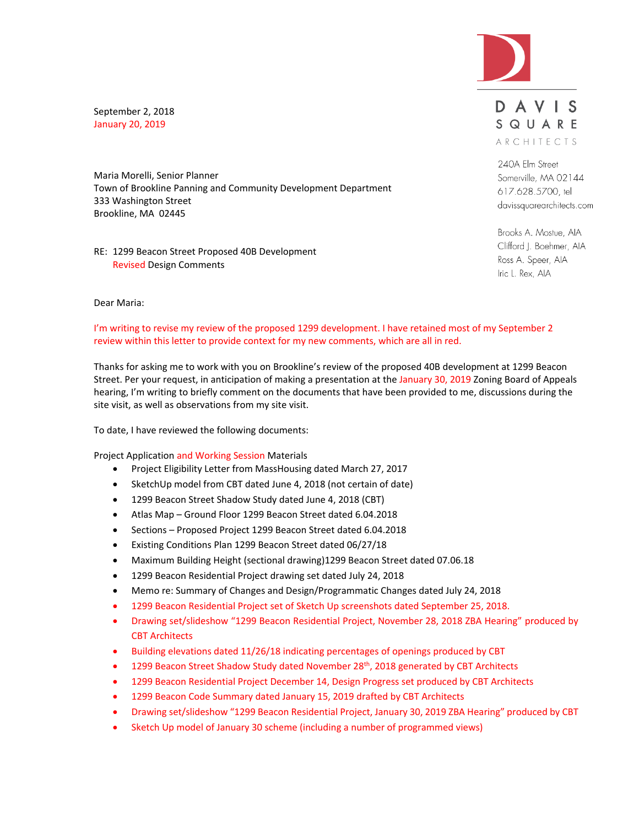

September 2, 2018 January 20, 2019

Maria Morelli, Senior Planner Town of Brookline Panning and Community Development Department 333 Washington Street Brookline, MA 02445

RE: 1299 Beacon Street Proposed 40B Development Revised Design Comments

# DAVIS SQUARE ARCHITECTS

240A Elm Street Somerville, MA 02144 617.628.5700, tel davissquarearchitects.com

Brooks A. Mostue, AIA Clifford J. Boehmer, AIA Ross A. Speer, AIA Iric L. Rex, AIA

#### Dear Maria:

## I'm writing to revise my review of the proposed 1299 development. I have retained most of my September 2 review within this letter to provide context for my new comments, which are all in red.

Thanks for asking me to work with you on Brookline's review of the proposed 40B development at 1299 Beacon Street. Per your request, in anticipation of making a presentation at the January 30, 2019 Zoning Board of Appeals hearing, I'm writing to briefly comment on the documents that have been provided to me, discussions during the site visit, as well as observations from my site visit.

To date, I have reviewed the following documents:

Project Application and Working Session Materials

- Project Eligibility Letter from MassHousing dated March 27, 2017
- SketchUp model from CBT dated June 4, 2018 (not certain of date)
- 1299 Beacon Street Shadow Study dated June 4, 2018 (CBT)
- Atlas Map Ground Floor 1299 Beacon Street dated 6.04.2018
- Sections Proposed Project 1299 Beacon Street dated 6.04.2018
- Existing Conditions Plan 1299 Beacon Street dated 06/27/18
- Maximum Building Height (sectional drawing)1299 Beacon Street dated 07.06.18
- 1299 Beacon Residential Project drawing set dated July 24, 2018
- Memo re: Summary of Changes and Design/Programmatic Changes dated July 24, 2018
- 1299 Beacon Residential Project set of Sketch Up screenshots dated September 25, 2018.
- Drawing set/slideshow "1299 Beacon Residential Project, November 28, 2018 ZBA Hearing" produced by CBT Architects
- Building elevations dated 11/26/18 indicating percentages of openings produced by CBT
- 1299 Beacon Street Shadow Study dated November 28<sup>th</sup>, 2018 generated by CBT Architects
- 1299 Beacon Residential Project December 14, Design Progress set produced by CBT Architects
- 1299 Beacon Code Summary dated January 15, 2019 drafted by CBT Architects
- Drawing set/slideshow "1299 Beacon Residential Project, January 30, 2019 ZBA Hearing" produced by CBT
- Sketch Up model of January 30 scheme (including a number of programmed views)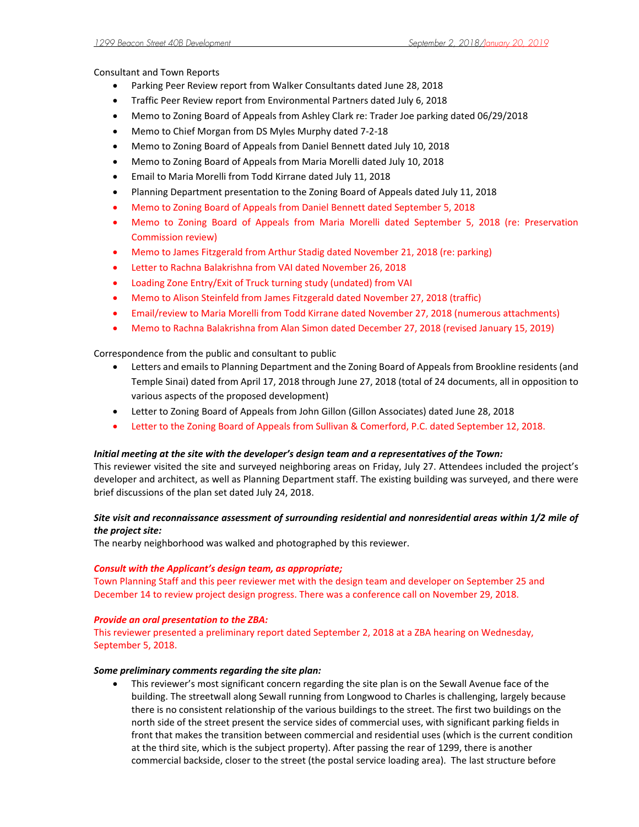Consultant and Town Reports

- Parking Peer Review report from Walker Consultants dated June 28, 2018
- Traffic Peer Review report from Environmental Partners dated July 6, 2018
- Memo to Zoning Board of Appeals from Ashley Clark re: Trader Joe parking dated 06/29/2018
- Memo to Chief Morgan from DS Myles Murphy dated 7-2-18
- Memo to Zoning Board of Appeals from Daniel Bennett dated July 10, 2018
- Memo to Zoning Board of Appeals from Maria Morelli dated July 10, 2018
- Email to Maria Morelli from Todd Kirrane dated July 11, 2018
- Planning Department presentation to the Zoning Board of Appeals dated July 11, 2018
- Memo to Zoning Board of Appeals from Daniel Bennett dated September 5, 2018
- Memo to Zoning Board of Appeals from Maria Morelli dated September 5, 2018 (re: Preservation Commission review)
- Memo to James Fitzgerald from Arthur Stadig dated November 21, 2018 (re: parking)
- Letter to Rachna Balakrishna from VAI dated November 26, 2018
- Loading Zone Entry/Exit of Truck turning study (undated) from VAI
- Memo to Alison Steinfeld from James Fitzgerald dated November 27, 2018 (traffic)
- Email/review to Maria Morelli from Todd Kirrane dated November 27, 2018 (numerous attachments)
- Memo to Rachna Balakrishna from Alan Simon dated December 27, 2018 (revised January 15, 2019)

Correspondence from the public and consultant to public

- Letters and emails to Planning Department and the Zoning Board of Appeals from Brookline residents (and Temple Sinai) dated from April 17, 2018 through June 27, 2018 (total of 24 documents, all in opposition to various aspects of the proposed development)
- Letter to Zoning Board of Appeals from John Gillon (Gillon Associates) dated June 28, 2018
- Letter to the Zoning Board of Appeals from Sullivan & Comerford, P.C. dated September 12, 2018.

# *Initial meeting at the site with the developer's design team and a representatives of the Town:*

This reviewer visited the site and surveyed neighboring areas on Friday, July 27. Attendees included the project's developer and architect, as well as Planning Department staff. The existing building was surveyed, and there were brief discussions of the plan set dated July 24, 2018.

# *Site visit and reconnaissance assessment of surrounding residential and nonresidential areas within 1/2 mile of the project site:*

The nearby neighborhood was walked and photographed by this reviewer.

# *Consult with the Applicant's design team, as appropriate;*

Town Planning Staff and this peer reviewer met with the design team and developer on September 25 and December 14 to review project design progress. There was a conference call on November 29, 2018.

# *Provide an oral presentation to the ZBA:*

This reviewer presented a preliminary report dated September 2, 2018 at a ZBA hearing on Wednesday, September 5, 2018.

## *Some preliminary comments regarding the site plan:*

 This reviewer's most significant concern regarding the site plan is on the Sewall Avenue face of the building. The streetwall along Sewall running from Longwood to Charles is challenging, largely because there is no consistent relationship of the various buildings to the street. The first two buildings on the north side of the street present the service sides of commercial uses, with significant parking fields in front that makes the transition between commercial and residential uses (which is the current condition at the third site, which is the subject property). After passing the rear of 1299, there is another commercial backside, closer to the street (the postal service loading area). The last structure before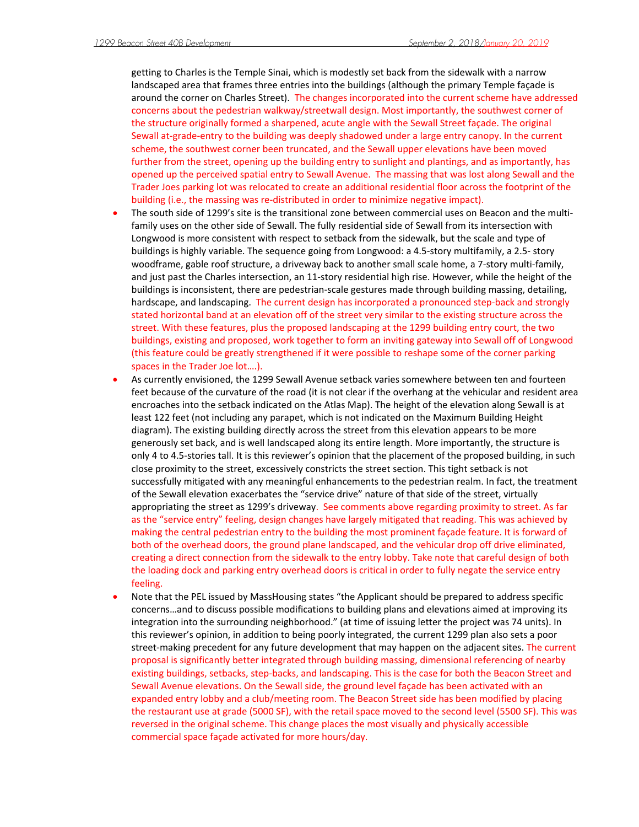getting to Charles is the Temple Sinai, which is modestly set back from the sidewalk with a narrow landscaped area that frames three entries into the buildings (although the primary Temple façade is around the corner on Charles Street). The changes incorporated into the current scheme have addressed concerns about the pedestrian walkway/streetwall design. Most importantly, the southwest corner of the structure originally formed a sharpened, acute angle with the Sewall Street façade. The original Sewall at-grade-entry to the building was deeply shadowed under a large entry canopy. In the current scheme, the southwest corner been truncated, and the Sewall upper elevations have been moved further from the street, opening up the building entry to sunlight and plantings, and as importantly, has opened up the perceived spatial entry to Sewall Avenue. The massing that was lost along Sewall and the Trader Joes parking lot was relocated to create an additional residential floor across the footprint of the building (i.e., the massing was re-distributed in order to minimize negative impact).

- The south side of 1299's site is the transitional zone between commercial uses on Beacon and the multifamily uses on the other side of Sewall. The fully residential side of Sewall from its intersection with Longwood is more consistent with respect to setback from the sidewalk, but the scale and type of buildings is highly variable. The sequence going from Longwood: a 4.5-story multifamily, a 2.5- story woodframe, gable roof structure, a driveway back to another small scale home, a 7-story multi-family, and just past the Charles intersection, an 11-story residential high rise. However, while the height of the buildings is inconsistent, there are pedestrian-scale gestures made through building massing, detailing, hardscape, and landscaping. The current design has incorporated a pronounced step-back and strongly stated horizontal band at an elevation off of the street very similar to the existing structure across the street. With these features, plus the proposed landscaping at the 1299 building entry court, the two buildings, existing and proposed, work together to form an inviting gateway into Sewall off of Longwood (this feature could be greatly strengthened if it were possible to reshape some of the corner parking spaces in the Trader Joe lot….).
- As currently envisioned, the 1299 Sewall Avenue setback varies somewhere between ten and fourteen feet because of the curvature of the road (it is not clear if the overhang at the vehicular and resident area encroaches into the setback indicated on the Atlas Map). The height of the elevation along Sewall is at least 122 feet (not including any parapet, which is not indicated on the Maximum Building Height diagram). The existing building directly across the street from this elevation appears to be more generously set back, and is well landscaped along its entire length. More importantly, the structure is only 4 to 4.5-stories tall. It is this reviewer's opinion that the placement of the proposed building, in such close proximity to the street, excessively constricts the street section. This tight setback is not successfully mitigated with any meaningful enhancements to the pedestrian realm. In fact, the treatment of the Sewall elevation exacerbates the "service drive" nature of that side of the street, virtually appropriating the street as 1299's driveway. See comments above regarding proximity to street. As far as the "service entry" feeling, design changes have largely mitigated that reading. This was achieved by making the central pedestrian entry to the building the most prominent façade feature. It is forward of both of the overhead doors, the ground plane landscaped, and the vehicular drop off drive eliminated, creating a direct connection from the sidewalk to the entry lobby. Take note that careful design of both the loading dock and parking entry overhead doors is critical in order to fully negate the service entry feeling.
- Note that the PEL issued by MassHousing states "the Applicant should be prepared to address specific concerns…and to discuss possible modifications to building plans and elevations aimed at improving its integration into the surrounding neighborhood." (at time of issuing letter the project was 74 units). In this reviewer's opinion, in addition to being poorly integrated, the current 1299 plan also sets a poor street-making precedent for any future development that may happen on the adjacent sites. The current proposal is significantly better integrated through building massing, dimensional referencing of nearby existing buildings, setbacks, step-backs, and landscaping. This is the case for both the Beacon Street and Sewall Avenue elevations. On the Sewall side, the ground level façade has been activated with an expanded entry lobby and a club/meeting room. The Beacon Street side has been modified by placing the restaurant use at grade (5000 SF), with the retail space moved to the second level (5500 SF). This was reversed in the original scheme. This change places the most visually and physically accessible commercial space façade activated for more hours/day.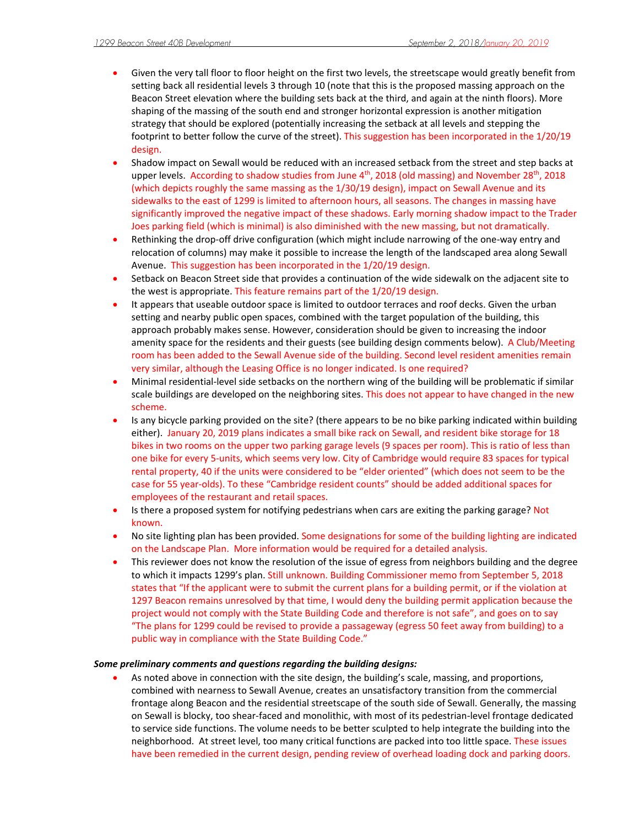- Given the very tall floor to floor height on the first two levels, the streetscape would greatly benefit from setting back all residential levels 3 through 10 (note that this is the proposed massing approach on the Beacon Street elevation where the building sets back at the third, and again at the ninth floors). More shaping of the massing of the south end and stronger horizontal expression is another mitigation strategy that should be explored (potentially increasing the setback at all levels and stepping the footprint to better follow the curve of the street). This suggestion has been incorporated in the 1/20/19 design.
- Shadow impact on Sewall would be reduced with an increased setback from the street and step backs at upper levels. According to shadow studies from June  $4<sup>th</sup>$ , 2018 (old massing) and November 28<sup>th</sup>, 2018 (which depicts roughly the same massing as the 1/30/19 design), impact on Sewall Avenue and its sidewalks to the east of 1299 is limited to afternoon hours, all seasons. The changes in massing have significantly improved the negative impact of these shadows. Early morning shadow impact to the Trader Joes parking field (which is minimal) is also diminished with the new massing, but not dramatically.
- Rethinking the drop-off drive configuration (which might include narrowing of the one-way entry and relocation of columns) may make it possible to increase the length of the landscaped area along Sewall Avenue. This suggestion has been incorporated in the 1/20/19 design.
- Setback on Beacon Street side that provides a continuation of the wide sidewalk on the adjacent site to the west is appropriate. This feature remains part of the 1/20/19 design.
- It appears that useable outdoor space is limited to outdoor terraces and roof decks. Given the urban setting and nearby public open spaces, combined with the target population of the building, this approach probably makes sense. However, consideration should be given to increasing the indoor amenity space for the residents and their guests (see building design comments below). A Club/Meeting room has been added to the Sewall Avenue side of the building. Second level resident amenities remain very similar, although the Leasing Office is no longer indicated. Is one required?
- Minimal residential-level side setbacks on the northern wing of the building will be problematic if similar scale buildings are developed on the neighboring sites. This does not appear to have changed in the new scheme.
- Is any bicycle parking provided on the site? (there appears to be no bike parking indicated within building either). January 20, 2019 plans indicates a small bike rack on Sewall, and resident bike storage for 18 bikes in two rooms on the upper two parking garage levels (9 spaces per room). This is ratio of less than one bike for every 5-units, which seems very low. City of Cambridge would require 83 spaces for typical rental property, 40 if the units were considered to be "elder oriented" (which does not seem to be the case for 55 year-olds). To these "Cambridge resident counts" should be added additional spaces for employees of the restaurant and retail spaces.
- Is there a proposed system for notifying pedestrians when cars are exiting the parking garage? Not known.
- No site lighting plan has been provided. Some designations for some of the building lighting are indicated on the Landscape Plan. More information would be required for a detailed analysis.
- This reviewer does not know the resolution of the issue of egress from neighbors building and the degree to which it impacts 1299's plan. Still unknown. Building Commissioner memo from September 5, 2018 states that "If the applicant were to submit the current plans for a building permit, or if the violation at 1297 Beacon remains unresolved by that time, I would deny the building permit application because the project would not comply with the State Building Code and therefore is not safe", and goes on to say "The plans for 1299 could be revised to provide a passageway (egress 50 feet away from building) to a public way in compliance with the State Building Code."

## *Some preliminary comments and questions regarding the building designs:*

 As noted above in connection with the site design, the building's scale, massing, and proportions, combined with nearness to Sewall Avenue, creates an unsatisfactory transition from the commercial frontage along Beacon and the residential streetscape of the south side of Sewall. Generally, the massing on Sewall is blocky, too shear-faced and monolithic, with most of its pedestrian-level frontage dedicated to service side functions. The volume needs to be better sculpted to help integrate the building into the neighborhood. At street level, too many critical functions are packed into too little space. These issues have been remedied in the current design, pending review of overhead loading dock and parking doors.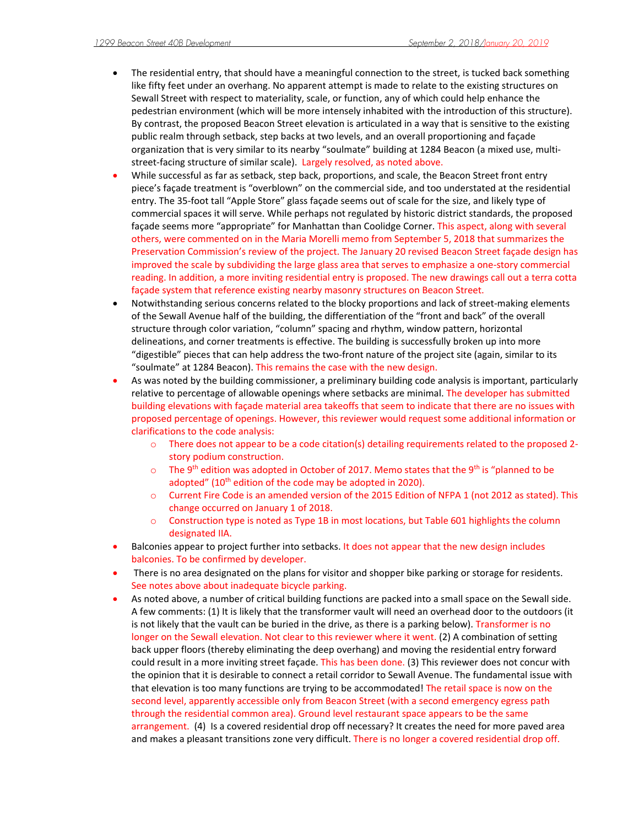- The residential entry, that should have a meaningful connection to the street, is tucked back something like fifty feet under an overhang. No apparent attempt is made to relate to the existing structures on Sewall Street with respect to materiality, scale, or function, any of which could help enhance the pedestrian environment (which will be more intensely inhabited with the introduction of this structure). By contrast, the proposed Beacon Street elevation is articulated in a way that is sensitive to the existing public realm through setback, step backs at two levels, and an overall proportioning and façade organization that is very similar to its nearby "soulmate" building at 1284 Beacon (a mixed use, multistreet-facing structure of similar scale). Largely resolved, as noted above.
- While successful as far as setback, step back, proportions, and scale, the Beacon Street front entry piece's façade treatment is "overblown" on the commercial side, and too understated at the residential entry. The 35-foot tall "Apple Store" glass façade seems out of scale for the size, and likely type of commercial spaces it will serve. While perhaps not regulated by historic district standards, the proposed façade seems more "appropriate" for Manhattan than Coolidge Corner. This aspect, along with several others, were commented on in the Maria Morelli memo from September 5, 2018 that summarizes the Preservation Commission's review of the project. The January 20 revised Beacon Street façade design has improved the scale by subdividing the large glass area that serves to emphasize a one-story commercial reading. In addition, a more inviting residential entry is proposed. The new drawings call out a terra cotta façade system that reference existing nearby masonry structures on Beacon Street.
- Notwithstanding serious concerns related to the blocky proportions and lack of street-making elements of the Sewall Avenue half of the building, the differentiation of the "front and back" of the overall structure through color variation, "column" spacing and rhythm, window pattern, horizontal delineations, and corner treatments is effective. The building is successfully broken up into more "digestible" pieces that can help address the two-front nature of the project site (again, similar to its "soulmate" at 1284 Beacon). This remains the case with the new design.
- As was noted by the building commissioner, a preliminary building code analysis is important, particularly relative to percentage of allowable openings where setbacks are minimal. The developer has submitted building elevations with façade material area takeoffs that seem to indicate that there are no issues with proposed percentage of openings. However, this reviewer would request some additional information or clarifications to the code analysis:
	- o There does not appear to be a code citation(s) detailing requirements related to the proposed 2 story podium construction.
	- $\circ$  The 9<sup>th</sup> edition was adopted in October of 2017. Memo states that the 9<sup>th</sup> is "planned to be adopted" (10<sup>th</sup> edition of the code may be adopted in 2020).
	- o Current Fire Code is an amended version of the 2015 Edition of NFPA 1 (not 2012 as stated). This change occurred on January 1 of 2018.
	- o Construction type is noted as Type 1B in most locations, but Table 601 highlights the column designated IIA.
- Balconies appear to project further into setbacks. It does not appear that the new design includes balconies. To be confirmed by developer.
- There is no area designated on the plans for visitor and shopper bike parking or storage for residents. See notes above about inadequate bicycle parking.
- As noted above, a number of critical building functions are packed into a small space on the Sewall side. A few comments: (1) It is likely that the transformer vault will need an overhead door to the outdoors (it is not likely that the vault can be buried in the drive, as there is a parking below). Transformer is no longer on the Sewall elevation. Not clear to this reviewer where it went. (2) A combination of setting back upper floors (thereby eliminating the deep overhang) and moving the residential entry forward could result in a more inviting street façade. This has been done. (3) This reviewer does not concur with the opinion that it is desirable to connect a retail corridor to Sewall Avenue. The fundamental issue with that elevation is too many functions are trying to be accommodated! The retail space is now on the second level, apparently accessible only from Beacon Street (with a second emergency egress path through the residential common area). Ground level restaurant space appears to be the same arrangement. (4) Is a covered residential drop off necessary? It creates the need for more paved area and makes a pleasant transitions zone very difficult. There is no longer a covered residential drop off.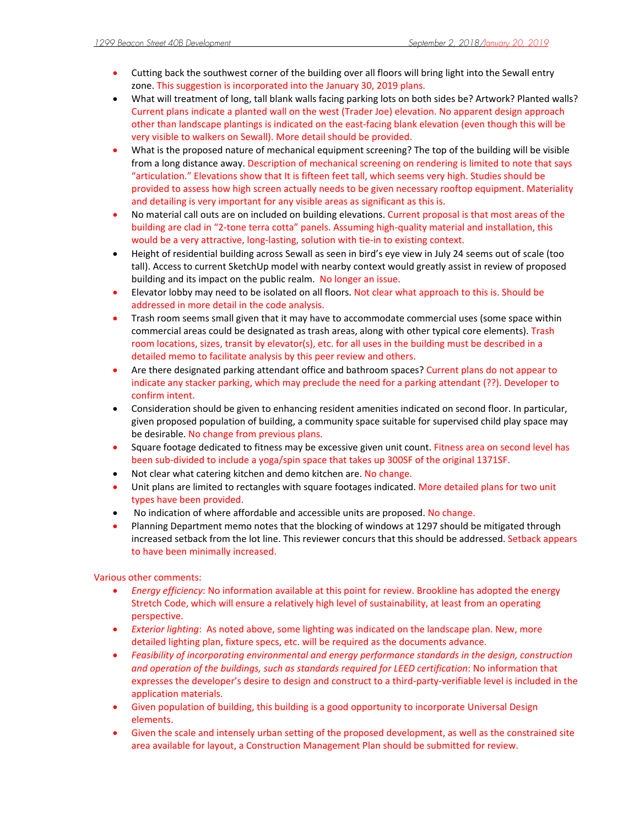- Cutting back the southwest corner of the building over all floors will bring light into the Sewall entry zone. This suggestion is incorporated into the January 30, 2019 plans.
- What will treatment of long, tall blank walls facing parking lots on both sides be? Artwork? Planted walls? Current plans indicate a planted wall on the west (Trader Joe) elevation. No apparent design approach other than landscape plantings is indicated on the east-facing blank elevation (even though this will be very visible to walkers on Sewall). More detail should be provided.
- What is the proposed nature of mechanical equipment screening? The top of the building will be visible from a long distance away. Description of mechanical screening on rendering is limited to note that says "articulation." Elevations show that It is fifteen feet tall, which seems very high. Studies should be provided to assess how high screen actually needs to be given necessary rooftop equipment. Materiality and detailing is very important for any visible areas as significant as this is.
- No material call outs are on included on building elevations. Current proposal is that most areas of the building are clad in "2-tone terra cotta" panels. Assuming high-quality material and installation, this would be a very attractive, long-lasting, solution with tie-in to existing context.
- Height of residential building across Sewall as seen in bird's eye view in July 24 seems out of scale (too tall). Access to current SketchUp model with nearby context would greatly assist in review of proposed building and its impact on the public realm. No longer an issue.
- **Elevator lobby may need to be isolated on all floors. Not clear what approach to this is. Should be** addressed in more detail in the code analysis.
- Trash room seems small given that it may have to accommodate commercial uses (some space within commercial areas could be designated as trash areas, along with other typical core elements). Trash room locations, sizes, transit by elevator(s), etc. for all uses in the building must be described in a detailed memo to facilitate analysis by this peer review and others.
- Are there designated parking attendant office and bathroom spaces? Current plans do not appear to indicate any stacker parking, which may preclude the need for a parking attendant (??). Developer to confirm intent.
- Consideration should be given to enhancing resident amenities indicated on second floor. In particular, given proposed population of building, a community space suitable for supervised child play space may be desirable. No change from previous plans.
- Square footage dedicated to fitness may be excessive given unit count. Fitness area on second level has been sub-divided to include a yoga/spin space that takes up 300SF of the original 1371SF.
- Not clear what catering kitchen and demo kitchen are. No change.
- Unit plans are limited to rectangles with square footages indicated. More detailed plans for two unit types have been provided.
- No indication of where affordable and accessible units are proposed. No change.
- Planning Department memo notes that the blocking of windows at 1297 should be mitigated through increased setback from the lot line. This reviewer concurs that this should be addressed. Setback appears to have been minimally increased.

Various other comments:

- *Energy efficiency*: No information available at this point for review. Brookline has adopted the energy Stretch Code, which will ensure a relatively high level of sustainability, at least from an operating perspective.
- *Exterior lighting*: As noted above, some lighting was indicated on the landscape plan. New, more detailed lighting plan, fixture specs, etc. will be required as the documents advance.
- *Feasibility of incorporating environmental and energy performance standards in the design, construction and operation of the buildings, such as standards required for LEED certification*: No information that expresses the developer's desire to design and construct to a third-party-verifiable level is included in the application materials.
- Given population of building, this building is a good opportunity to incorporate Universal Design elements.
- Given the scale and intensely urban setting of the proposed development, as well as the constrained site area available for layout, a Construction Management Plan should be submitted for review.